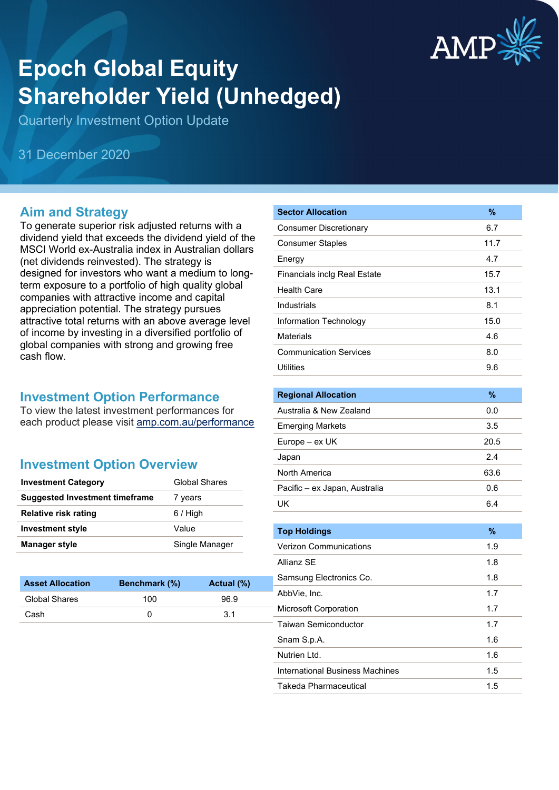

# **Epoch Global Equity Shareholder Yield (Unhedged)**

Quarterly Investment Option Update

31 December 2020

#### **Aim and Strategy**

To generate superior risk adjusted returns with a dividend yield that exceeds the dividend yield of the MSCI World ex-Australia index in Australian dollars (net dividends reinvested). The strategy is designed for investors who want a medium to longterm exposure to a portfolio of high quality global companies with attractive income and capital appreciation potential. The strategy pursues attractive total returns with an above average level of income by investing in a diversified portfolio of global companies with strong and growing free cash flow.

#### **Investment Option Performance**

To view the latest investment performances for each product please visit [amp.com.au/performance](https://www.amp.com.au/performance)

## **Investment Option Overview**

| <b>Investment Category</b>            | <b>Global Shares</b> |
|---------------------------------------|----------------------|
| <b>Suggested Investment timeframe</b> | 7 years              |
| <b>Relative risk rating</b>           | $6/$ High            |
| Investment style                      | Value                |
| <b>Manager style</b>                  | Single Manager       |

| <b>Benchmark</b> (%) | Actual (%) |
|----------------------|------------|
| 100                  | 96.9       |
|                      | .3.1       |
|                      |            |

| <b>Sector Allocation</b>            | $\%$ |
|-------------------------------------|------|
| <b>Consumer Discretionary</b>       | 6.7  |
| <b>Consumer Staples</b>             | 11.7 |
| Energy                              | 4.7  |
| <b>Financials inclg Real Estate</b> | 15.7 |
| <b>Health Care</b>                  | 13.1 |
| Industrials                         | 8.1  |
| Information Technology              | 15.0 |
| <b>Materials</b>                    | 4.6  |
| <b>Communication Services</b>       | 8.0  |
| <b>Utilities</b>                    | 9.6  |
|                                     |      |

| <b>Regional Allocation</b>    | %    |
|-------------------------------|------|
| Australia & New Zealand       | 0.0  |
| <b>Emerging Markets</b>       | 3.5  |
| Europe – ex UK                | 20.5 |
| Japan                         | 2.4  |
| North America                 | 63.6 |
| Pacific – ex Japan, Australia | 0.6  |
| UΚ                            | 6.4  |

| <b>Top Holdings</b>             | $\%$ |
|---------------------------------|------|
| <b>Verizon Communications</b>   | 1.9  |
| Allianz SF                      | 1.8  |
| Samsung Electronics Co.         | 1.8  |
| AbbVie, Inc.                    | 1.7  |
| <b>Microsoft Corporation</b>    | 1.7  |
| Taiwan Semiconductor            | 1.7  |
| Snam S.p.A.                     | 1.6  |
| Nutrien I td.                   | 1.6  |
| International Business Machines | 1.5  |
| Takeda Pharmaceutical           | 1.5  |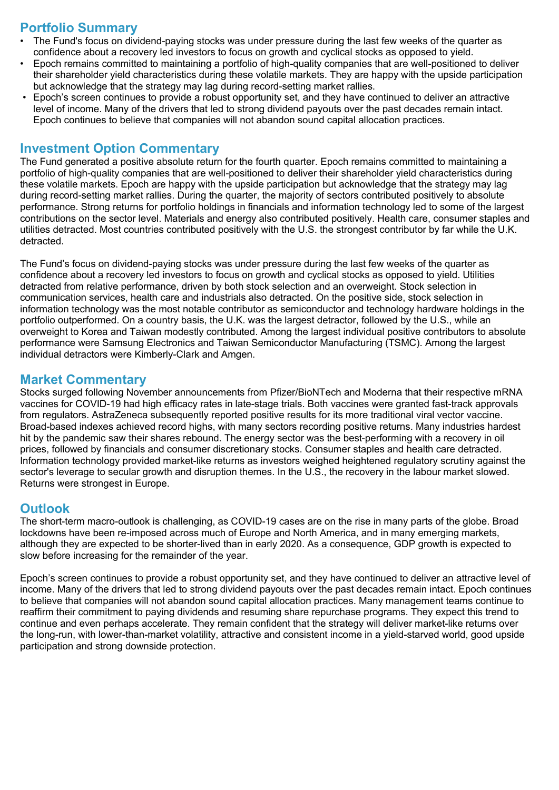## **Portfolio Summary**

- The Fund's focus on dividend-paying stocks was under pressure during the last few weeks of the quarter as confidence about a recovery led investors to focus on growth and cyclical stocks as opposed to yield.
- Epoch remains committed to maintaining a portfolio of high-quality companies that are well-positioned to deliver their shareholder yield characteristics during these volatile markets. They are happy with the upside participation but acknowledge that the strategy may lag during record-setting market rallies.
- Epoch's screen continues to provide a robust opportunity set, and they have continued to deliver an attractive level of income. Many of the drivers that led to strong dividend payouts over the past decades remain intact. Epoch continues to believe that companies will not abandon sound capital allocation practices.

#### **Investment Option Commentary**

The Fund generated a positive absolute return for the fourth quarter. Epoch remains committed to maintaining a portfolio of high-quality companies that are well-positioned to deliver their shareholder yield characteristics during these volatile markets. Epoch are happy with the upside participation but acknowledge that the strategy may lag during record-setting market rallies. During the quarter, the majority of sectors contributed positively to absolute performance. Strong returns for portfolio holdings in financials and information technology led to some of the largest contributions on the sector level. Materials and energy also contributed positively. Health care, consumer staples and utilities detracted. Most countries contributed positively with the U.S. the strongest contributor by far while the U.K. detracted.

The Fund's focus on dividend-paying stocks was under pressure during the last few weeks of the quarter as confidence about a recovery led investors to focus on growth and cyclical stocks as opposed to yield. Utilities detracted from relative performance, driven by both stock selection and an overweight. Stock selection in communication services, health care and industrials also detracted. On the positive side, stock selection in information technology was the most notable contributor as semiconductor and technology hardware holdings in the portfolio outperformed. On a country basis, the U.K. was the largest detractor, followed by the U.S., while an overweight to Korea and Taiwan modestly contributed. Among the largest individual positive contributors to absolute performance were Samsung Electronics and Taiwan Semiconductor Manufacturing (TSMC). Among the largest individual detractors were Kimberly-Clark and Amgen.

#### **Market Commentary**

Stocks surged following November announcements from Pfizer/BioNTech and Moderna that their respective mRNA vaccines for COVID-19 had high efficacy rates in late-stage trials. Both vaccines were granted fast-track approvals from regulators. AstraZeneca subsequently reported positive results for its more traditional viral vector vaccine. Broad-based indexes achieved record highs, with many sectors recording positive returns. Many industries hardest hit by the pandemic saw their shares rebound. The energy sector was the best-performing with a recovery in oil prices, followed by financials and consumer discretionary stocks. Consumer staples and health care detracted. Information technology provided market-like returns as investors weighed heightened regulatory scrutiny against the sector's leverage to secular growth and disruption themes. In the U.S., the recovery in the labour market slowed. Returns were strongest in Europe.

## **Outlook**

The short-term macro-outlook is challenging, as COVID-19 cases are on the rise in many parts of the globe. Broad lockdowns have been re-imposed across much of Europe and North America, and in many emerging markets, although they are expected to be shorter-lived than in early 2020. As a consequence, GDP growth is expected to slow before increasing for the remainder of the year.

Epoch's screen continues to provide a robust opportunity set, and they have continued to deliver an attractive level of income. Many of the drivers that led to strong dividend payouts over the past decades remain intact. Epoch continues to believe that companies will not abandon sound capital allocation practices. Many management teams continue to reaffirm their commitment to paying dividends and resuming share repurchase programs. They expect this trend to continue and even perhaps accelerate. They remain confident that the strategy will deliver market-like returns over the long-run, with lower-than-market volatility, attractive and consistent income in a yield-starved world, good upside participation and strong downside protection.